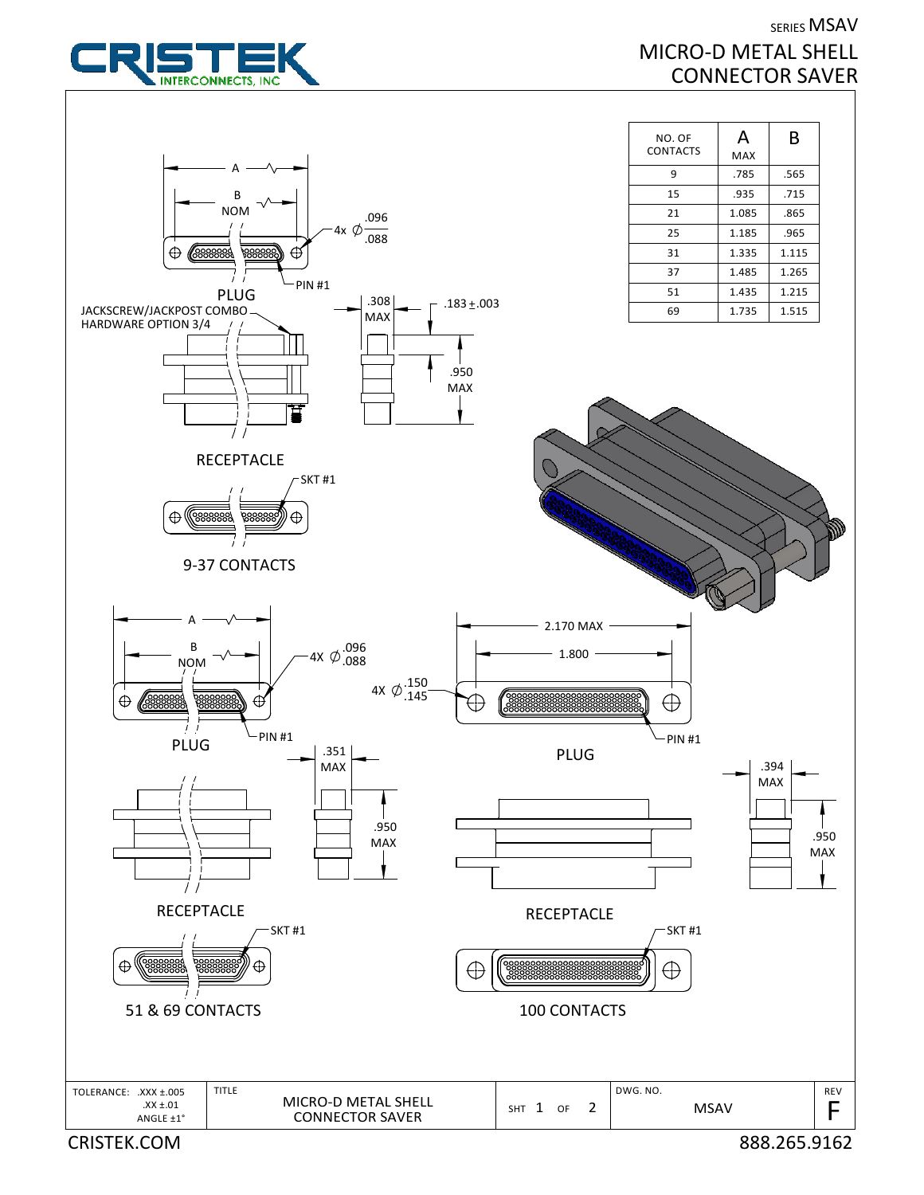

SERIES MSAV